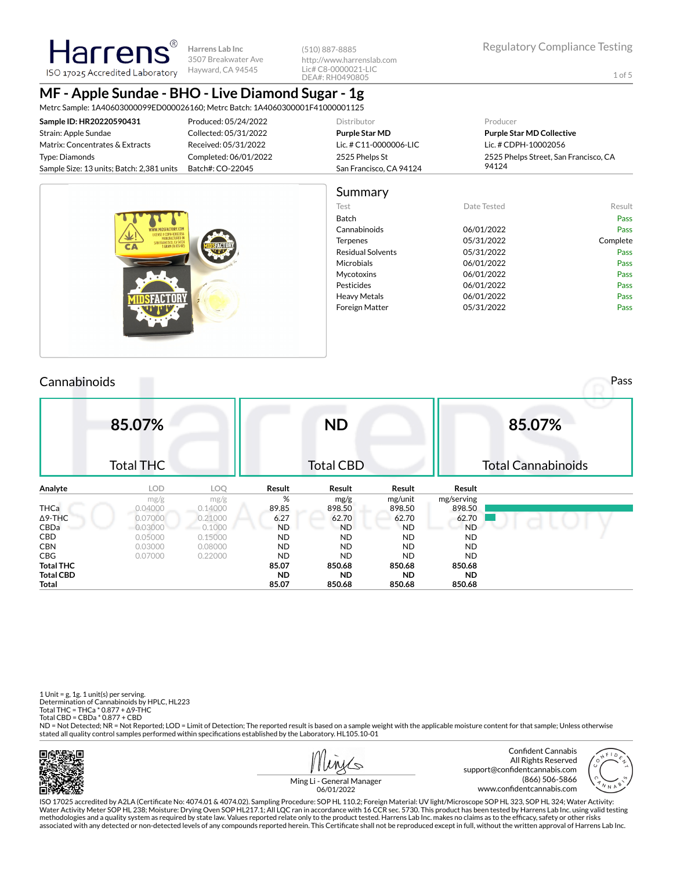(510) 887-8885 http://www.harrenslab.com Lic# C8-0000021-LIC DEA#: RH0490805

1 of 5

# **MF - Apple Sundae - BHO - Live Diamond Sugar - 1g**

Metrc Sample: 1A40603000099ED000026160; Metrc Batch: 1A4060300001F41000001125

| Sample ID: HR20220590431                  | Produced: 05/24/2022  | Distributor             | Producer                              |
|-------------------------------------------|-----------------------|-------------------------|---------------------------------------|
| Strain: Apple Sundae                      | Collected: 05/31/2022 | <b>Purple Star MD</b>   | <b>Purple Star MD Collective</b>      |
| Matrix: Concentrates & Extracts           | Received: 05/31/2022  | Lic. # C11-0000006-LIC  | Lic. # CDPH-10002056                  |
| Type: Diamonds                            | Completed: 06/01/2022 | 2525 Phelps St          | 2525 Phelps Street, San Francisco, CA |
| Sample Size: 13 units; Batch: 2,381 units | Batch#: CO-22045      | San Francisco, CA 94124 | 94124                                 |
|                                           |                       |                         |                                       |



#### **Cannabinoids** Pass **Pass 85.07%** Total THC **ND** Total CBD **85.07%** Total Cannabinoids **Analyte LOD LOQ Result Result Result Result** mg/g mg/g mg/g mg/serving<br>0.04000 0.14000 **898.50 898.50 898.50 898.50** THCa 0.04000 0.14000 89.85 898.50 898.50 898.50 Δ9-THC 0.07000 0.21000 6.27 62.70 62.70 62.70 CBDa 0.03000 0.1000 ND ND ND ND CBD 0.05000 0.15000 ND ND ND ND CBN 0.03000 0.08000 ND ND ND ND CBG 0.07000 0.22000 ND ND ND ND **Total THC 85.07 850.68 850.68 850.68 Total CBD ND ND ND ND Total 85.07 850.68 850.68 850.68**

1 Unit =  $g$ , 1 $g$ . 1 unit(s) per serving. Determination of Cannabinoids by HPLC, HL223 Total THC = THCa \* 0.877 + ∆9-THC Total CBD = CBDa \* 0.877 + CBD

ND = Not Detected; NR = Not Reported; LOD = Limit of Detection; The reported result is based on a sample weight with the applicable moisture content for that sample; Unless otherwise stated all quality control samples performed within specifications established by the Laboratory. HL105.10-01



 $\overline{\mathcal{C}}$ 





ISO 17025 accredited by A2LA (Certificate No: 4074.01 & 4074.02). Sampling Procedure: SOP HL 110.2; Foreign Material: UV light/Microscope SOP HL 323, SOP HL 324; Water Activity: Water Activity Meter SOP HL 238; Moisture: Drying Oven SOP HL217.1; All LQC ran in accordance with 16 CCR sec. 5730. This product has been tested by Harrens Lab Inc. using valid testing methodologies and a quality system as required by state law. Values reported relate only to the product tested. Harrens Lab Inc. makes no claims as to the efficacy, safety or other risks<br>associated with any detected or non

06/01/2022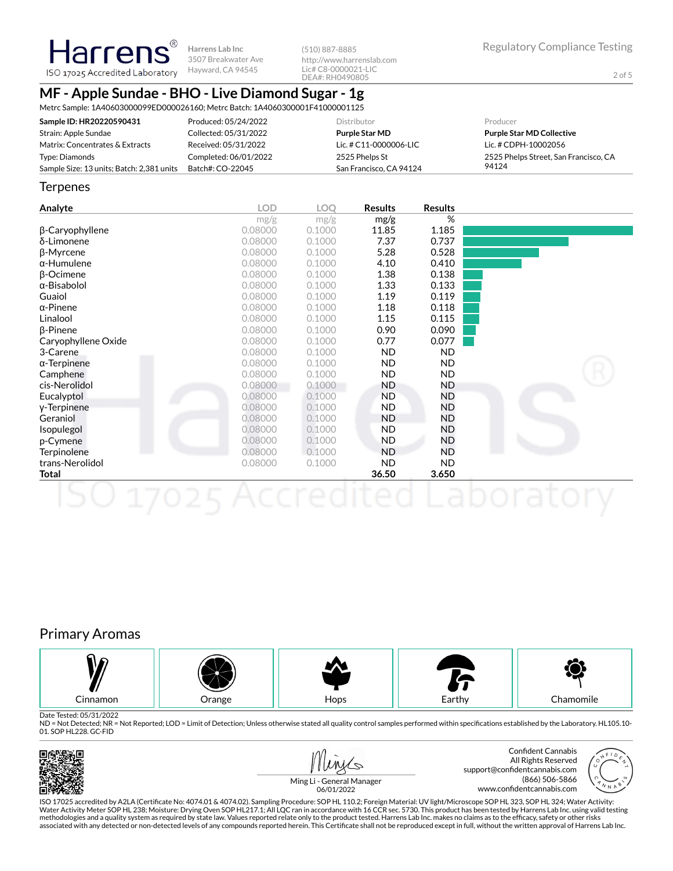**Harrens**® **Harrens Lab Inc** 3507 Breakwater Ave ISO 17025 Accredited Laboratory Hayward, CA 94545

(510) 887-8885 http://www.harrenslab.com Lic# C8-0000021-LIC DEA#: RH0490805

## **MF - Apple Sundae - BHO - Live Diamond Sugar - 1g**

Metrc Sample: 1A40603000099ED000026160; Metrc Batch: 1A4060300001F41000001125

| Sample ID: HR20220590431                  | Produced: 05/24/2022  | Distributor             | Producer                              |
|-------------------------------------------|-----------------------|-------------------------|---------------------------------------|
| Strain: Apple Sundae                      | Collected: 05/31/2022 | <b>Purple Star MD</b>   | <b>Purple Star MD Collective</b>      |
| Matrix: Concentrates & Extracts           | Received: 05/31/2022  | Lic. # C11-0000006-LIC  | Lic. # CDPH-10002056                  |
| Type: Diamonds                            | Completed: 06/01/2022 | 2525 Phelps St          | 2525 Phelps Street, San Francisco, CA |
| Sample Size: 13 units; Batch: 2,381 units | Batch#: CO-22045      | San Francisco, CA 94124 | 94124                                 |

#### **Terpenes**

| <b>Analyte</b>      | <b>LOD</b> | <b>LOO</b> | <b>Results</b> | <b>Results</b> |  |
|---------------------|------------|------------|----------------|----------------|--|
|                     | mg/g       | mg/g       | mg/g           | %              |  |
| β-Caryophyllene     | 0.08000    | 0.1000     | 11.85          | 1.185          |  |
| δ-Limonene          | 0.08000    | 0.1000     | 7.37           | 0.737          |  |
| β-Myrcene           | 0.08000    | 0.1000     | 5.28           | 0.528          |  |
| $\alpha$ -Humulene  | 0.08000    | 0.1000     | 4.10           | 0.410          |  |
| $\beta$ -Ocimene    | 0.08000    | 0.1000     | 1.38           | 0.138          |  |
| $\alpha$ -Bisabolol | 0.08000    | 0.1000     | 1.33           | 0.133          |  |
| Guaiol              | 0.08000    | 0.1000     | 1.19           | 0.119          |  |
| $\alpha$ -Pinene    | 0.08000    | 0.1000     | 1.18           | 0.118          |  |
| Linalool            | 0.08000    | 0.1000     | 1.15           | 0.115          |  |
| $\beta$ -Pinene     | 0.08000    | 0.1000     | 0.90           | 0.090          |  |
| Caryophyllene Oxide | 0.08000    | 0.1000     | 0.77           | 0.077          |  |
| 3-Carene            | 0.08000    | 0.1000     | ND.            | ND.            |  |
| $\alpha$ -Terpinene | 0.08000    | 0.1000     | ND.            | ND.            |  |
| Camphene            | 0.08000    | 0.1000     | <b>ND</b>      | ND.            |  |
| cis-Nerolidol       | 0.08000    | 0.1000     | ND.            | ND             |  |
| Eucalyptol          | 0.08000    | 0.1000     | <b>ND</b>      | ND             |  |
| y-Terpinene         | 0.08000    | 0.1000     | <b>ND</b>      | ND             |  |
| Geraniol            | 0.08000    | 0.1000     | <b>ND</b>      | ND             |  |
| Isopulegol          | 0.08000    | 0.1000     | <b>ND</b>      | ND             |  |
| p-Cymene            | 0.08000    | 0.1000     | ND             | ND             |  |
| Terpinolene         | 0.08000    | 0.1000     | <b>ND</b>      | ND.            |  |
| trans-Nerolidol     | 0.08000    | 0.1000     | ND.            | ND.            |  |
| Total               |            |            | 36.50          | 3.650          |  |
|                     |            |            |                |                |  |

## Primary Aromas



Date Tested: 05/31/2022

ND = Not Detected; NR = Not Reported; LOD = Limit of Detection; Unless otherwise stated all quality control samples performed within specifications established by the Laboratory. HL105.10-01. SOP HL228. GC-FID







Ming Li - General Manager 06/01/2022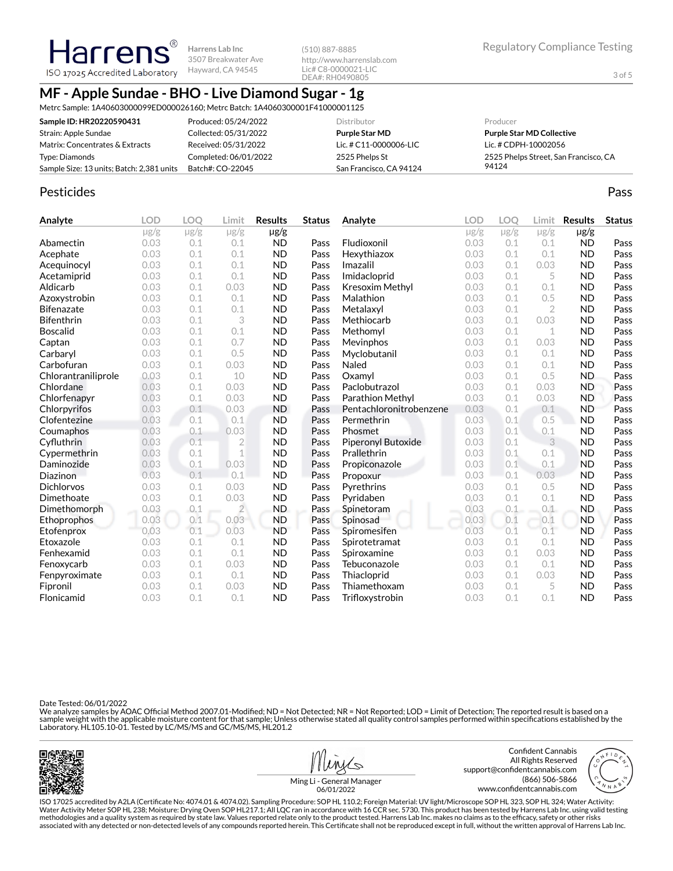Hayward, CA 94545 ISO 17025 Accredited Laboratory

## **MF - Apple Sundae - BHO - Live Diamond Sugar - 1g**

**Harrens Lab Inc** 3507 Breakwater Ave

Metrc Sample: 1A40603000099ED000026160; Metrc Batch: 1A4060300001F41000001125

| Sample ID: HR20220590431                  | Produced: 05/24/2022  | <b>Distributor</b>      | Producer                              |
|-------------------------------------------|-----------------------|-------------------------|---------------------------------------|
| Strain: Apple Sundae                      | Collected: 05/31/2022 | <b>Purple Star MD</b>   | <b>Purple Star MD Collective</b>      |
| Matrix: Concentrates & Extracts           | Received: 05/31/2022  | Lic. # C11-0000006-LIC  | Lic. # CDPH-10002056                  |
| Type: Diamonds                            | Completed: 06/01/2022 | 2525 Phelps St          | 2525 Phelps Street, San Francisco, CA |
| Sample Size: 13 units; Batch: 2,381 units | Batch#: CO-22045      | San Francisco, CA 94124 | 94124                                 |

(510) 887-8885

http://www.harrenslab.com Lic# C8-0000021-LIC DEA#: RH0490805

### Pesticides **Passage Community Community Community** Passes and the extension of the extension of the extension of the extension of the extension of the extension of the extension of the extension of the extension of the ext

Harrens

| Analyte             | <b>LOD</b> | <b>LOO</b> | Limit          | <b>Results</b> | <b>Status</b> | Analyte                 | <b>LOD</b> | <b>LOO</b> | Limit          | <b>Results</b> | <b>Status</b> |
|---------------------|------------|------------|----------------|----------------|---------------|-------------------------|------------|------------|----------------|----------------|---------------|
|                     | $\mu$ g/g  | $\mu$ g/g  | $\mu$ g/g      | $\mu$ g/g      |               |                         | $\mu$ g/g  | $\mu$ g/g  | $\mu$ g/g      | $\mu$ g/g      |               |
| Abamectin           | 0.03       | 0.1        | 0.1            | <b>ND</b>      | Pass          | Fludioxonil             | 0.03       | 0.1        | 0.1            | <b>ND</b>      | Pass          |
| Acephate            | 0.03       | 0.1        | 0.1            | <b>ND</b>      | Pass          | Hexythiazox             | 0.03       | 0.1        | 0.1            | <b>ND</b>      | Pass          |
| Acequinocyl         | 0.03       | 0.1        | 0.1            | <b>ND</b>      | Pass          | Imazalil                | 0.03       | 0.1        | 0.03           | <b>ND</b>      | Pass          |
| Acetamiprid         | 0.03       | 0.1        | 0.1            | <b>ND</b>      | Pass          | Imidacloprid            | 0.03       | 0.1        | 5              | <b>ND</b>      | Pass          |
| Aldicarb            | 0.03       | 0.1        | 0.03           | <b>ND</b>      | Pass          | Kresoxim Methyl         | 0.03       | 0.1        | 0.1            | <b>ND</b>      | Pass          |
| Azoxystrobin        | 0.03       | 0.1        | 0.1            | <b>ND</b>      | Pass          | Malathion               | 0.03       | 0.1        | 0.5            | <b>ND</b>      | Pass          |
| <b>Bifenazate</b>   | 0.03       | 0.1        | 0.1            | <b>ND</b>      | Pass          | Metalaxyl               | 0.03       | 0.1        | $\overline{2}$ | <b>ND</b>      | Pass          |
| <b>Bifenthrin</b>   | 0.03       | 0.1        | 3              | <b>ND</b>      | Pass          | Methiocarb              | 0.03       | 0.1        | 0.03           | <b>ND</b>      | Pass          |
| <b>Boscalid</b>     | 0.03       | 0.1        | 0.1            | <b>ND</b>      | Pass          | Methomyl                | 0.03       | 0.1        | 1              | <b>ND</b>      | Pass          |
| Captan              | 0.03       | 0.1        | 0.7            | <b>ND</b>      | Pass          | Mevinphos               | 0.03       | 0.1        | 0.03           | <b>ND</b>      | Pass          |
| Carbaryl            | 0.03       | 0.1        | 0.5            | <b>ND</b>      | Pass          | Myclobutanil            | 0.03       | 0.1        | 0.1            | <b>ND</b>      | Pass          |
| Carbofuran          | 0.03       | 0.1        | 0.03           | <b>ND</b>      | Pass          | Naled                   | 0.03       | 0.1        | 0.1            | <b>ND</b>      | Pass          |
| Chlorantraniliprole | 0.03       | 0.1        | 10             | <b>ND</b>      | Pass          | Oxamyl                  | 0.03       | 0.1        | 0.5            | <b>ND</b>      | Pass          |
| Chlordane           | 0.03       | 0.1        | 0.03           | <b>ND</b>      | Pass          | Paclobutrazol           | 0.03       | 0.1        | 0.03           | <b>ND</b>      | Pass          |
| Chlorfenapyr        | 0.03       | 0.1        | 0.03           | <b>ND</b>      | Pass          | Parathion Methyl        | 0.03       | 0.1        | 0.03           | <b>ND</b>      | Pass          |
| Chlorpyrifos        | 0.03       | 0.1        | 0.03           | <b>ND</b>      | Pass          | Pentachloronitrobenzene | 0.03       | 0.1        | 0.1            | <b>ND</b>      | Pass          |
| Clofentezine        | 0.03       | 0.1        | 0.1            | <b>ND</b>      | Pass          | Permethrin              | 0.03       | 0.1        | 0.5            | <b>ND</b>      | Pass          |
| Coumaphos           | 0.03       | 0.1        | 0.03           | <b>ND</b>      | Pass          | Phosmet                 | 0.03       | 0.1        | 0.1            | <b>ND</b>      | Pass          |
| Cyfluthrin          | 0.03       | 0.1        | $\overline{2}$ | <b>ND</b>      | Pass          | Piperonyl Butoxide      | 0.03       | 0.1        | 3              | <b>ND</b>      | Pass          |
| Cypermethrin        | 0.03       | 0.1        | 1              | <b>ND</b>      | Pass          | Prallethrin             | 0.03       | 0.1        | 0.1            | <b>ND</b>      | Pass          |
| Daminozide          | 0.03       | 0.1        | 0.03           | <b>ND</b>      | Pass          | Propiconazole           | 0.03       | 0.1        | 0.1            | <b>ND</b>      | Pass          |
| Diazinon            | 0.03       | 0.1        | 0.1            | <b>ND</b>      | Pass          | Propoxur                | 0.03       | 0.1        | 0.03           | <b>ND</b>      | Pass          |
| <b>Dichlorvos</b>   | 0.03       | 0.1        | 0.03           | <b>ND</b>      | Pass          | Pyrethrins              | 0.03       | 0.1        | 0.5            | <b>ND</b>      | Pass          |
| Dimethoate          | 0.03       | 0.1        | 0.03           | <b>ND</b>      | Pass          | Pyridaben               | 0.03       | 0.1        | 0.1            | <b>ND</b>      | Pass          |
| Dimethomorph        | 0.03       | 0.1        | $\overline{2}$ | <b>ND</b>      | Pass          | Spinetoram              | 0.03       | 0.1        | 0.1            | <b>ND</b>      | Pass          |
| Ethoprophos         | 0.03       | 0.1        | 0.03           | <b>ND</b>      | Pass          | Spinosad                | 0.03       | 0.1        | 0.1            | <b>ND</b>      | Pass          |
| Etofenprox          | 0.03       | 0.1        | 0.03           | <b>ND</b>      | Pass          | Spiromesifen            | 0.03       | 0.1        | 0.1            | <b>ND</b>      | Pass          |
| Etoxazole           | 0.03       | 0.1        | 0.1            | <b>ND</b>      | Pass          | Spirotetramat           | 0.03       | 0.1        | 0.1            | <b>ND</b>      | Pass          |
| Fenhexamid          | 0.03       | 0.1        | 0.1            | <b>ND</b>      | Pass          | Spiroxamine             | 0.03       | 0.1        | 0.03           | <b>ND</b>      | Pass          |
| Fenoxycarb          | 0.03       | 0.1        | 0.03           | <b>ND</b>      | Pass          | Tebuconazole            | 0.03       | 0.1        | 0.1            | <b>ND</b>      | Pass          |
| Fenpyroximate       | 0.03       | 0.1        | 0.1            | <b>ND</b>      | Pass          | Thiacloprid             | 0.03       | 0.1        | 0.03           | <b>ND</b>      | Pass          |
| Fipronil            | 0.03       | 0.1        | 0.03           | <b>ND</b>      | Pass          | Thiamethoxam            | 0.03       | 0.1        | 5              | <b>ND</b>      | Pass          |
| Flonicamid          | 0.03       | 0.1        | 0.1            | <b>ND</b>      | Pass          | Trifloxystrobin         | 0.03       | 0.1        | 0.1            | <b>ND</b>      | Pass          |

Date Tested: 06/01/2022

We analyze samples by AOAC Official Method 2007.01-Modified; ND = Not Detected; NR = Not Reported; LOD = Limit of Detection; The reported result is based on a sample weight with the applicable moisture content for that sample; Unless otherwise stated all quality control samples performed within specifications established by the<br>Laboratory. HL105.10-01. Tested by LC/MS/MS and GC/







Ming Li - General Manager 06/01/2022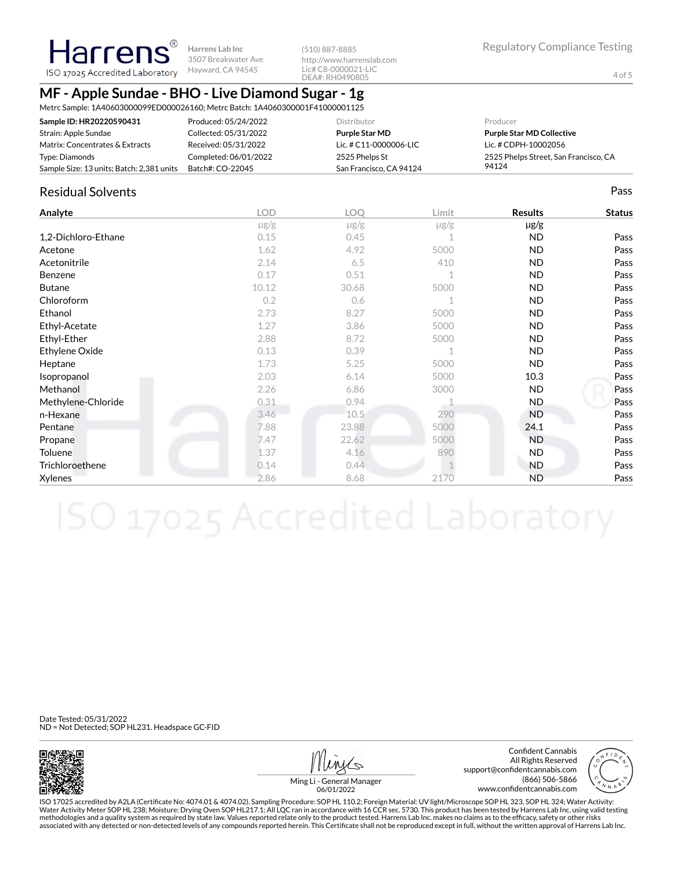**Harrens Lab Inc** 3507 Breakwater Ave ISO 17025 Accredited Laboratory Hayward, CA 94545

(510) 887-8885 http://www.harrenslab.com Lic# C8-0000021-LIC DEA#: RH0490805

## **MF - Apple Sundae - BHO - Live Diamond Sugar - 1g**

Metrc Sample: 1A40603000099ED000026160; Metrc Batch: 1A4060300001F41000001125

| Sample ID: HR20220590431                  | Produced: 05/24/2022  | Distributor             | Producer                              |
|-------------------------------------------|-----------------------|-------------------------|---------------------------------------|
| Strain: Apple Sundae                      | Collected: 05/31/2022 | Purple Star MD          | <b>Purple Star MD Collective</b>      |
| Matrix: Concentrates & Extracts           | Received: 05/31/2022  | Lic. # C11-0000006-LIC  | Lic. # CDPH-10002056                  |
| Type: Diamonds                            | Completed: 06/01/2022 | 2525 Phelps St          | 2525 Phelps Street, San Francisco, CA |
| Sample Size: 13 units; Batch: 2,381 units | Batch#: CO-22045      | San Francisco, CA 94124 | 94124                                 |

## Residual Solvents Pass

Harrens®

| Analyte             | <b>LOD</b> | <b>LOO</b> | Limit       | <b>Results</b> | <b>Status</b> |
|---------------------|------------|------------|-------------|----------------|---------------|
|                     | $\mu$ g/g  | $\mu$ g/g  | $\mu$ g/g   | $\mu$ g/g      |               |
| 1,2-Dichloro-Ethane | 0.15       | 0.45       | 1           | <b>ND</b>      | Pass          |
| Acetone             | 1.62       | 4.92       | 5000        | <b>ND</b>      | Pass          |
| Acetonitrile        | 2.14       | 6.5        | 410         | <b>ND</b>      | Pass          |
| Benzene             | 0.17       | 0.51       | $\mathbf 1$ | ND.            | Pass          |
| <b>Butane</b>       | 10.12      | 30.68      | 5000        | <b>ND</b>      | Pass          |
| Chloroform          | 0.2        | 0.6        |             | ND.            | Pass          |
| Ethanol             | 2.73       | 8.27       | 5000        | ND.            | Pass          |
| Ethyl-Acetate       | 1.27       | 3.86       | 5000        | ND.            | Pass          |
| Ethyl-Ether         | 2.88       | 8.72       | 5000        | ND.            | Pass          |
| Ethylene Oxide      | 0.13       | 0.39       | $\mathbf 1$ | ND.            | Pass          |
| Heptane             | 1.73       | 5.25       | 5000        | <b>ND</b>      | Pass          |
| Isopropanol         | 2.03       | 6.14       | 5000        | 10.3           | Pass          |
| Methanol            | 2.26       | 6.86       | 3000        | <b>ND</b>      | Pass          |
| Methylene-Chloride  | 0.31       | 0.94       |             | ND.            | Pass          |
| n-Hexane            | 3.46       | 10.5       | 290         | <b>ND</b>      | Pass          |
| Pentane             | 7.88       | 23.88      | 5000        | 24.1           | Pass          |
| Propane             | 7.47       | 22.62      | 5000        | <b>ND</b>      | Pass          |
| Toluene             | 1.37       | 4.16       | 890         | ND.            | Pass          |
| Trichloroethene     | 0.14       | 0.44       |             | <b>ND</b>      | Pass          |
| Xylenes             | 2.86       | 8.68       | 2170        | <b>ND</b>      | Pass          |

Date Tested: 05/31/2022 ND = Not Detected; SOP HL231. Headspace GC-FID



Confident Cannabis All Rights Reserved support@confidentcannabis.com (866) 506-5866 www.confidentcannabis.com



Ming Li - General Manager 06/01/2022